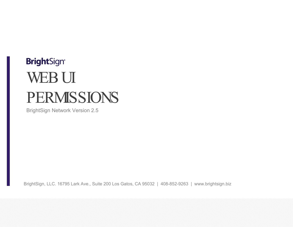# **BrightSign®** WEB UI PERMISSIONS

BrightSign Network Version 2.5

BrightSign, LLC. 16795 Lark Ave., Suite 200 Los Gatos, CA 95032 | 408-852-9263 | www.brightsign.biz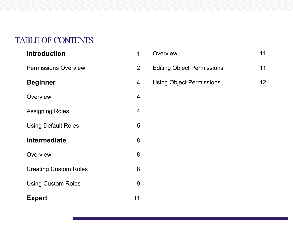# TABLE OF CONTENTS

| <b>Introduction</b>          | 1              |
|------------------------------|----------------|
| <b>Permissions Overview</b>  | $\overline{2}$ |
| <b>Beginner</b>              | 4              |
| Overview                     | 4              |
| <b>Assigning Roles</b>       | 4              |
| <b>Using Default Roles</b>   | 5              |
| <b>Intermediate</b>          | 8              |
| Overview                     | 8              |
| <b>Creating Custom Roles</b> | 8              |
| <b>Using Custom Roles</b>    | 9              |
| <b>Expert</b>                | 11             |

| Overview                          | 11  |
|-----------------------------------|-----|
| <b>Editing Object Permissions</b> | 11  |
| <b>Using Object Permissions</b>   | 12. |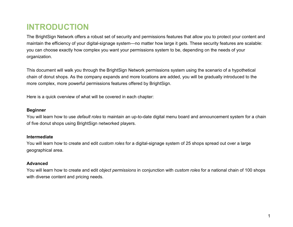# <span id="page-2-0"></span>**INTRODUCTION**

The BrightSign Network offers a robust set of security and permissions features that allow you to protect your content and maintain the efficiency of your digital-signage system—no matter how large it gets. These security features are scalable: you can choose exactly how complex you want your permissions system to be, depending on the needs of your organization.

This document will walk you through the BrightSign Network permissions system using the scenario of a hypothetical chain of donut shops. As the company expands and more locations are added, you will be gradually introduced to the more complex, more powerful permissions features offered by BrightSign.

Here is a quick overview of what will be covered in each chapter:

#### **Beginner**

You will learn how to use *default roles* to maintain an up-to-date digital menu board and announcement system for a chain of five donut shops using BrightSign networked players.

#### **Intermediate**

You will learn how to create and edit *custom roles* for a digital-signage system of 25 shops spread out over a large geographical area.

#### **Advanced**

You will learn how to create and edit *object permissions* in conjunction with *custom roles* for a national chain of 100 shops with diverse content and pricing needs.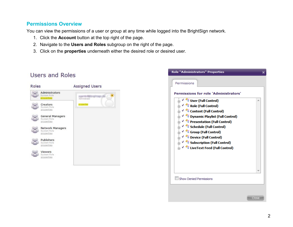### <span id="page-3-0"></span>**Permissions Overview**

You can view the permissions of a user or group at any time while logged into the BrightSign network.

- 1. Click the **Account** button at the top right of the page.
- 2. Navigate to the **Users and Roles** subgroup on the right of the page.
- 3. Click on the **properties** underneath either the desired role or desired user.





### Users and Roles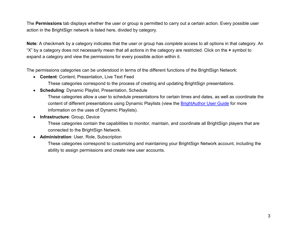The **Permissions** tab displays whether the user or group is permitted to carry out a certain action. Every possible user action in the BrightSign network is listed here, divided by category.

**Note**: A checkmark by a category indicates that the user or group has *complete* access to all options in that category. An "X" by a category does not necessarily mean that all actions in the category are restricted. Click on the **+** symbol to expand a category and view the permissions for every possible action within it.

The permissions categories can be understood in terms of the different functions of the BrightSign Network:

- **Content: Content, Presentation, Live Text Feed** 
	- These categories correspond to the process of creating and updating BrightSign presentations.
- **Scheduling: Dynamic Playlist, Presentation, Schedule**

These categories allow a user to schedule presentations for certain times and dates, as well as coordinate the content of different presentations using Dynamic Playlists (view the **BrightAuthor User Guide** for more information on the uses of Dynamic Playlists).

**• Infrastructure: Group, Device** 

These categories contain the capabilities to monitor, maintain, and coordinate all BrightSign players that are connected to the BrightSign Network.

x **Administration**: User, Role, Subscription

These categories correspond to customizing and maintaining your BrightSign Network account, including the ability to assign permissions and create new user accounts.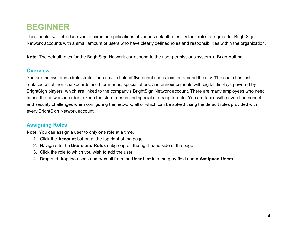# <span id="page-5-0"></span>**BEGINNER**

This chapter will introduce you to common applications of various default roles. Default roles are great for BrightSign Network accounts with a small amount of users who have clearly defined roles and responsibilities within the organization.

**Note**: The default roles for the BrightSign Network correspond to the user permissions system in BrightAuthor.

#### <span id="page-5-1"></span>**Overview**

You are the systems administrator for a small chain of five donut shops located around the city. The chain has just replaced all of their chalkboards used for menus, special offers, and announcements with digital displays powered by BrightSign players, which are linked to the company's BrightSign Network account. There are many employees who need to use the network in order to keep the store menus and special offers up-to-date. You are faced with several personnel and security challenges when configuring the network, all of which can be solved using the default roles provided with every BrightSign Network account.

### <span id="page-5-2"></span>**Assigning Roles**

**Note**: You can assign a user to only one role at a time.

- 1. Click the **Account** button at the top right of the page.
- 2. Navigate to the **Users and Roles** subgroup on the right-hand side of the page.
- 3. Click the role to which you wish to add the user.
- 4. Drag and drop the user's name/email from the **User List** into the gray field under **Assigned Users**.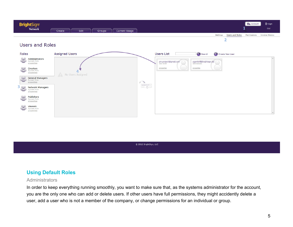

#### **Users and Roles**



@ 2012 BrightSign, LLC

#### <span id="page-6-0"></span>**Using Default Roles**

#### **Administrators**

In order to keep everything running smoothly, you want to make sure that, as the systems administrator for the account, you are the only one who can add or delete users. If other users have full permissions, they might accidently delete a user, add a user who is not a member of the company, or change permissions for an individual or group.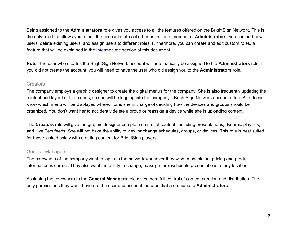Being assigned to the **Administrators** role gives you access to all the features offered on the BrightSign Network. This is the only role that allows you to edit the account status of other users: as a member of **Administrators**, you can add new users, delete existing users, and assign users to different roles; furthermore, you can create and edit custom roles, a feature that will be explained in the **Intermediate** section of this document.

**Note**: The user who creates the BrightSign Network account will automatically be assigned to the **Administrators** role. If you did not create the account, you will need to have the user who did assign you to the **Administrators** role.

#### **Creators**

The company employs a graphic designer to create the digital menus for the company. She is also frequently updating the content and layout of the menus, so she will be logging into the company's BrightSign Network account often. She doesn't know which menu will be displayed where, nor is she in charge of deciding how the devices and groups should be organized. You don't want her to accidently delete a group or reassign a device while she is uploading content.

The **Creators** role will give the graphic designer complete control of content, including presentations, dynamic playlists, and Live Text feeds. She will not have the ability to view or change schedules, groups, or devices. This role is best suited for those tasked solely with creating content for BrightSign players.

#### General Managers

The co-owners of the company want to log in to the network whenever they wish to check that pricing and product information is correct. They also want the ability to change, reassign, or reschedule presentations at any location.

Assigning the co-owners to the **General Managers** role gives them full control of content creation and distribution. The only permissions they won't have are the user and account features that are unique to **Administrators**.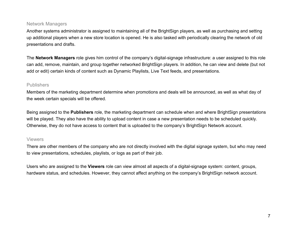#### Network Managers

Another systems administrator is assigned to maintaining all of the BrightSign players, as well as purchasing and setting up additional players when a new store location is opened. He is also tasked with periodically clearing the network of old presentations and drafts.

The **Network Managers** role gives him control of the company's digital-signage infrastructure: a user assigned to this role can add, remove, maintain, and group together networked BrightSign players. In addition, he can view and delete (but not add or edit) certain kinds of content such as Dynamic Playlists, Live Text feeds, and presentations.

#### **Publishers**

Members of the marketing department determine when promotions and deals will be announced, as well as what day of the week certain specials will be offered.

Being assigned to the **Publishers** role, the marketing department can schedule when and where BrightSign presentations will be played. They also have the ability to upload content in case a new presentation needs to be scheduled quickly. Otherwise, they do not have access to content that is uploaded to the company's BrightSign Network account.

#### Viewers

There are other members of the company who are not directly involved with the digital signage system, but who may need to view presentations, schedules, playlists, or logs as part of their job.

Users who are assigned to the **Viewers** role can view almost all aspects of a digital-signage system: content, groups, hardware status, and schedules. However, they cannot affect anything on the company's BrightSign network account.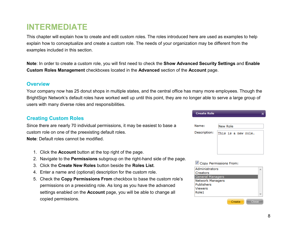## <span id="page-9-0"></span>**INTERMEDIATE**

This chapter will explain how to create and edit custom roles. The roles introduced here are used as examples to help explain how to conceptualize and create a custom role. The needs of your organization may be different from the examples included in this section.

**Note**: In order to create a custom role, you will first need to check the **Show Advanced Security Settings** and **Enable Custom Roles Management** checkboxes located in the **Advanced** section of the **Account** page.

#### <span id="page-9-1"></span>**Overview**

Your company now has 25 donut shops in multiple states, and the central office has many more employees. Though the BrightSign Network's default roles have worked well up until this point, they are no longer able to serve a large group of users with many diverse roles and responsibilities.

#### <span id="page-9-2"></span>**Creating Custom Roles**

Since there are nearly 70 individual permissions, it may be easiest to base a custom role on one of the preexisting default roles.

**Note**: Default roles cannot be modified.

- 1. Click the **Account** button at the top right of the page.
- 2. Navigate to the **Permissions** subgroup on the right-hand side of the page.
- 3. Click the **Create New Roles** button beside the **Roles List**.
- 4. Enter a name and (optional) description for the custom role.
- 5. Check the **Copy Permissions From** checkbox to base the custom role's permissions on a preexisting role. As long as you have the advanced settings enabled on the **Account** page, you will be able to change all copied permissions.

| <b>Create Role</b> |  |
|--------------------|--|
|--------------------|--|

| Name:        | New Role            |  |  |
|--------------|---------------------|--|--|
| Description: | This is a new role. |  |  |

Copy Permissions From:

| Viewers<br>Role1 |  |
|------------------|--|
| Publishers       |  |
| Network Managers |  |
| General Managers |  |
| Creators         |  |
| Administrators   |  |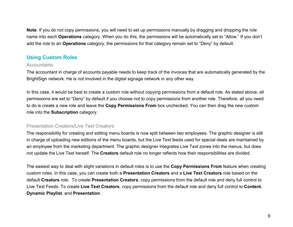**Note**: If you do not copy permissions, you will need to set up permissions manually by dragging and dropping the role name into each **Operations** category. When you do this, the permissions will be automatically set to "Allow." If you don't add the role to an **Operations** category, the permissions for that category remain set to "Deny" by default.

### <span id="page-10-0"></span>**Using Custom Roles**

#### **Accountants**

The accountant in charge of accounts payable needs to keep track of the invoices that are automatically generated by the BrightSign network. He is not involved in the digital signage network in any other way.

In this case, it would be best to create a custom role without copying permissions from a default role. As stated above, all permissions are set to "Deny" by default if you choose not to copy permissions from another role. Therefore, all you need to do is create a new role and leave the **Copy Permissions From** box unchecked. You can then drag the new custom role into the **Subscription** category.

#### Presentation Creators/Live Text Creators

The responsibility for creating and editing menu boards is now split between two employees. The graphic designer is still in charge of uploading new editions of the menu boards, but the Live Text feeds used for special deals are maintained by an employee from the marketing department. The graphic designer integrates Live Text zones into the menus, but does not update the Live Text herself. The **Creators** default role no longer reflects how their responsibilities are divided.

The easiest way to deal with slight variations in default roles is to use the **Copy Permissions From** feature when creating custom roles. In this case, you can create both a **Presentation Creators** and a **Live Text Creators** role based on the default **Creators** role. To create **Presentation Creators**, copy permissions from the default role and deny full control to Live Text Feeds. To create **Live Text Creators**, copy permissions from the default role and deny full control to **Content**, **Dynamic Playlist**, and **Presentation**.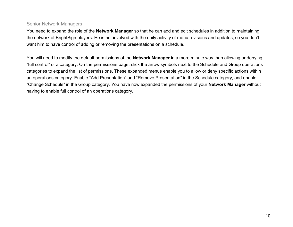#### Senior Network Managers

You need to expand the role of the **Network Manager** so that he can add and edit schedules in addition to maintaining the network of BrightSign players. He is not involved with the daily activity of menu revisions and updates, so you don't want him to have control of adding or removing the presentations on a schedule.

You will need to modify the default permissions of the **Network Manager** in a more minute way than allowing or denying "full control" of a category. On the permissions page, click the arrow symbols next to the Schedule and Group operations categories to expand the list of permissions. These expanded menus enable you to allow or deny specific actions within an operations category. Enable "Add Presentation" and "Remove Presentation" in the Schedule category, and enable "Change Schedule" in the Group category. You have now expanded the permissions of your **Network Manager** without having to enable full control of an operations category.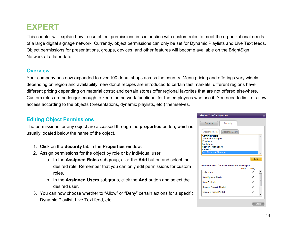# <span id="page-12-0"></span>**EXPERT**

This chapter will explain how to use object permissions in conjunction with custom roles to meet the organizational needs of a large digital signage network. Currently, object permissions can only be set for Dynamic Playlists and Live Text feeds. Object permissions for presentations, groups, devices, and other features will become available on the BrightSign Network at a later date.

#### <span id="page-12-1"></span>**Overview**

Your company has now expanded to over 100 donut shops across the country. Menu pricing and offerings vary widely depending on region and availability: new donut recipes are introduced to certain test markets; different regions have different pricing depending on material costs; and certain stores offer regional favorites that are not offered elsewhere. Custom roles are no longer enough to keep the network functional for the employees who use it. You need to limit or allow access according to the objects (presentations, dynamic playlists, etc.) themselves.

#### <span id="page-12-2"></span>**Editing Object Permissions**

The permissions for any object are accessed through the **properties** button, which is usually located below the name of the object.

- 1. Click on the **Security** tab in the **Properties** window.
- 2. Assign permissions for the object by role or by individual user.
	- a. In the **Assigned Roles** subgroup, click the **Add** button and select the desired role. Remember that you can only edit permissions for custom roles.
	- b. In the **Assigned Users** subgroup, click the **Add** button and select the desired user.
- 3. You can now choose whether to "Allow" or "Deny" certain actions for a specific Dynamic Playlist, Live Text feed, etc.

| Security<br>General                                                                                                     |       |           |
|-------------------------------------------------------------------------------------------------------------------------|-------|-----------|
| <b>Assigned Roles</b><br><b>Assigned Users</b>                                                                          |       |           |
| Administrators<br><b>General Managers</b><br><b>Creators</b><br>Publishers<br><b>Network Managers</b><br><b>Viewers</b> |       |           |
|                                                                                                                         |       |           |
| Sen Network Manager                                                                                                     |       | Edit      |
| <b>Permissions for Sen Network Manager</b>                                                                              |       |           |
|                                                                                                                         | Allow | Deny<br>J |
| <b>Full Control</b><br><b>View Dynamic Playlist</b>                                                                     |       |           |
| <b>View Contents</b>                                                                                                    |       |           |
| Rename Dynamic Playlist                                                                                                 |       |           |
| Update Dynamic Playlist                                                                                                 |       |           |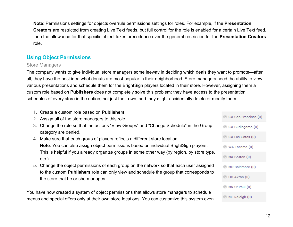**Note**: Permissions settings for objects overrule permissions settings for roles. For example, if the **Presentation Creators** are restricted from creating Live Text feeds, but full control for the role is enabled for a certain Live Text feed, then the allowance for that specific object takes precedence over the general restriction for the **Presentation Creators**  role.

### <span id="page-13-0"></span>**Using Object Permissions**

#### Store Managers

The company wants to give individual store managers some leeway in deciding which deals they want to promote—after all, they have the best idea what donuts are most popular in their neighborhood. Store managers need the ability to view various presentations and schedule them for the BrightSign players located in their store. However, assigning them a custom role based on **Publishers** does not completely solve this problem: they have access to the presentation schedules of every store in the nation, not just their own, and they might accidentally delete or modify them.

- 1. Create a custom role based on **Publishers**
- 2. Assign all of the store managers to this role.
- 3. Change the role so that the actions "View Groups" and "Change Schedule" in the Group category are denied.
- 4. Make sure that each group of players reflects a different store location. **Note**: You can also assign object permissions based on individual BrightSign players. This is helpful if you already organize groups in some other way (by region, by store type, etc.).
- 5. Change the object permissions of each group on the network so that each user assigned to the custom **Publishers** role can only view and schedule the group that corresponds to the store that he or she manages.

You have now created a system of object permissions that allows store managers to schedule menus and special offers only at their own store locations. You can customize this system even

| CA San Francisco (0)    |
|-------------------------|
| CA Burlingame (0)       |
| CA Los Gatos (0)        |
| WA Tacoma (0)           |
| MA Boston (0)           |
| ◉ MD Baltimore (0)      |
| OH Akron (0)            |
| MN St Paul (0)          |
| <b>I</b> NC Raleigh (0) |